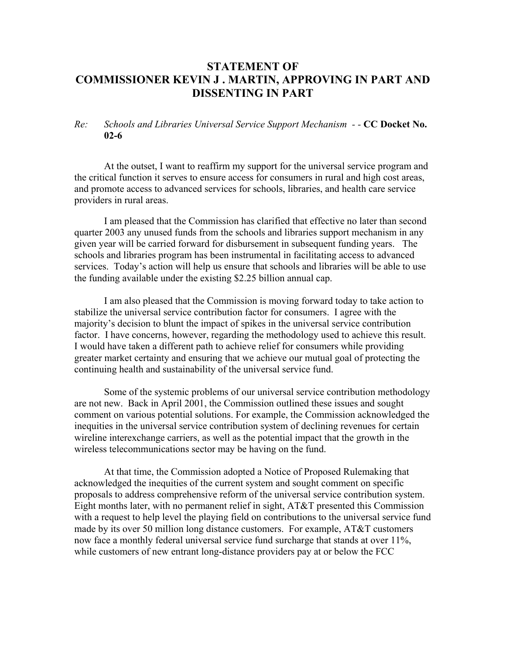## **STATEMENT OF COMMISSIONER KEVIN J . MARTIN, APPROVING IN PART AND DISSENTING IN PART**

## *Re: Schools and Libraries Universal Service Support Mechanism - -* **CC Docket No. 02-6**

At the outset, I want to reaffirm my support for the universal service program and the critical function it serves to ensure access for consumers in rural and high cost areas, and promote access to advanced services for schools, libraries, and health care service providers in rural areas.

I am pleased that the Commission has clarified that effective no later than second quarter 2003 any unused funds from the schools and libraries support mechanism in any given year will be carried forward for disbursement in subsequent funding years. The schools and libraries program has been instrumental in facilitating access to advanced services. Today's action will help us ensure that schools and libraries will be able to use the funding available under the existing \$2.25 billion annual cap.

 I am also pleased that the Commission is moving forward today to take action to stabilize the universal service contribution factor for consumers. I agree with the majority's decision to blunt the impact of spikes in the universal service contribution factor. I have concerns, however, regarding the methodology used to achieve this result. I would have taken a different path to achieve relief for consumers while providing greater market certainty and ensuring that we achieve our mutual goal of protecting the continuing health and sustainability of the universal service fund.

 Some of the systemic problems of our universal service contribution methodology are not new. Back in April 2001, the Commission outlined these issues and sought comment on various potential solutions. For example, the Commission acknowledged the inequities in the universal service contribution system of declining revenues for certain wireline interexchange carriers, as well as the potential impact that the growth in the wireless telecommunications sector may be having on the fund.

At that time, the Commission adopted a Notice of Proposed Rulemaking that acknowledged the inequities of the current system and sought comment on specific proposals to address comprehensive reform of the universal service contribution system. Eight months later, with no permanent relief in sight, AT&T presented this Commission with a request to help level the playing field on contributions to the universal service fund made by its over 50 million long distance customers. For example, AT&T customers now face a monthly federal universal service fund surcharge that stands at over 11%, while customers of new entrant long-distance providers pay at or below the FCC